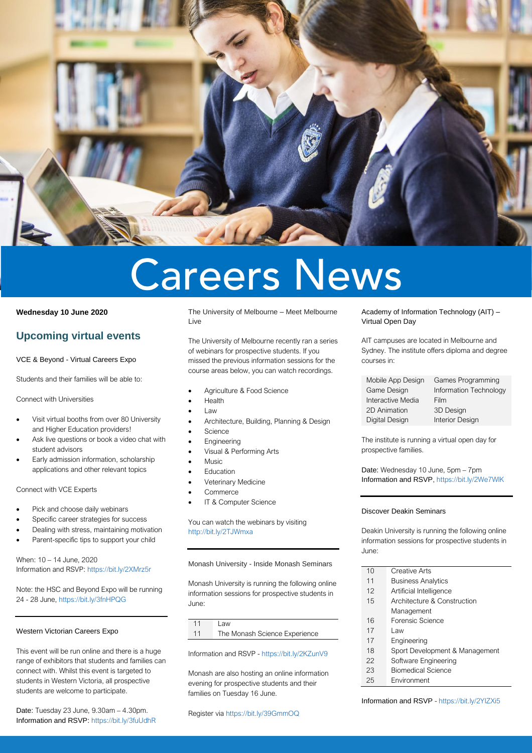

# **Careers News**

## **Wednesday 10 June 2020**

## **Upcoming virtual events**

VCE & Beyond - Virtual Careers Expo

Students and their families will be able to:

Connect with Universities

- Visit virtual booths from over 80 University and Higher Education providers!
- Ask live questions or book a video chat with student advisors
- Early admission information, scholarship applications and other relevant topics

## Connect with VCE Experts

- Pick and choose daily webinars
- Specific career strategies for success
- Dealing with stress, maintaining motivation
- Parent-specific tips to support your child

When: 10 – 14 June, 2020 Information and RSVP[: https://bit.ly/2XMrz5r](https://bit.ly/2XMrz5r)

Note: the HSC and Beyond Expo will be running 24 - 28 June,<https://bit.ly/3fnHPQG>

## Western Victorian Careers Expo

This event will be run online and there is a huge range of exhibitors that students and families can connect with. Whilst this event is targeted to students in Western Victoria, all prospective students are welcome to participate.

Date: Tuesday 23 June, 9.30am – 4.30pm. Information and RSVP: <https://bit.ly/3fuUdhR> The University of Melbourne – Meet Melbourne Live

The University of Melbourne recently ran a series of webinars for prospective students. If you missed the previous information sessions for the course areas below, you can watch recordings.

- Agriculture & Food Science
- Health
- Law
- Architecture, Building, Planning & Design
- **Science**
- **Engineering**
- Visual & Performing Arts
- Music
- **Education**
- Veterinary Medicine
- **Commerce**
- IT & Computer Science

You can watch the webinars by visiting <http://bit.ly/2TJWmxa>

#### Monash University - Inside Monash Seminars

Monash University is running the following online information sessions for prospective students in June:

11 Law 11 The Monash Science Experience

Information and RSVP - <https://bit.ly/2KZunV9>

Monash are also hosting an online information evening for prospective students and their families on Tuesday 16 June.

Academy of Information Technology (AIT) – Virtual Open Day

AIT campuses are located in Melbourne and Sydney. The institute offers diploma and degree courses in:

| Mobile App Design | Games Programming      |
|-------------------|------------------------|
| Game Design       | Information Technology |
| Interactive Media | Film                   |
| 2D Animation      | 3D Design              |
| Digital Design    | <b>Interior Design</b> |

The institute is running a virtual open day for prospective families.

Date: Wednesday 10 June, 5pm – 7pm Information and RSVP[, https://bit.ly/2We7WlK](https://bit.ly/2We7WlK)

## Discover Deakin Seminars

Deakin University is running the following online information sessions for prospective students in June:

- 10 Creative Arts
- 11 Business Analytics
- 12 Artificial Intelligence
- 15 Architecture & Construction
- Management
- 16 Forensic Science
- 17 Law
- 17 Engineering
- 18 Sport Development & Management
- 22 Software Engineering
- 23 Biomedical Science
- 25 Environment

Information and RSVP - <https://bit.ly/2YIZXi5>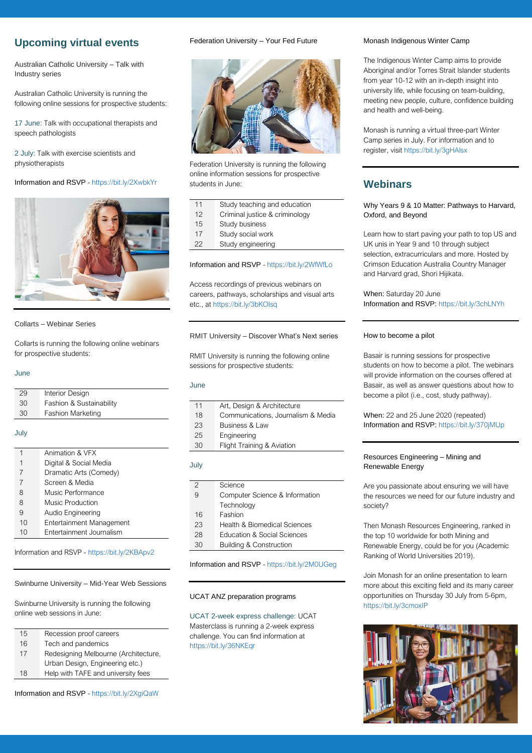## **Upcoming virtual events**

Australian Catholic University – Talk with Industry series

Australian Catholic University is running the following online sessions for prospective students:

17 June: Talk with occupational therapists and speech pathologists

2 July: Talk with exercise scientists and physiotherapists

## Information and RSVP - <https://bit.ly/2XwbkYr>



## Collarts – Webinar Series

Collarts is running the following online webinars for prospective students:

## June

| 29 | Interior Design          |
|----|--------------------------|
| 30 | Fashion & Sustainability |
| 30 | <b>Fashion Marketing</b> |

#### July

| 1  | Animation & VFX          |
|----|--------------------------|
| 1  | Digital & Social Media   |
| 7  | Dramatic Arts (Comedy)   |
| 7  | Screen & Media           |
| 8  | Music Performance        |
| 8  | Music Production         |
| 9  | Audio Engineering        |
| 10 | Entertainment Management |
| 10 | Entertainment Journalism |

Information and RSVP - <https://bit.ly/2KBApv2>

Swinburne University – Mid-Year Web Sessions

Swinburne University is running the following online web sessions in June:

- 15 Recession proof careers
- 16 Tech and pandemics
- 17 Redesigning Melbourne (Architecture,
- Urban Design, Engineering etc.)
- 18 Help with TAFE and university fees

#### Federation University – Your Fed Future



Federation University is running the following online information sessions for prospective students in June:

| 11 | Study teaching and education   |
|----|--------------------------------|
| 12 | Criminal justice & criminology |
| 15 | Study business                 |
| 17 | Study social work              |
| 22 | Study engineering              |

## Information and RSVP - <https://bit.ly/2WfWfLo>

Access recordings of previous webinars on careers, pathways, scholarships and visual arts etc., a[t https://bit.ly/3bKOIsq](https://bit.ly/3bKOIsq)

#### RMIT University – Discover What's Next series

RMIT University is running the following online sessions for prospective students:

## **June**

| 11 | Art, Design & Architecture         |
|----|------------------------------------|
| 18 | Communications, Journalism & Media |
| 23 | Business & Law                     |
| 25 | Engineering                        |
| 30 | Flight Training & Aviation         |
|    |                                    |

#### July

| 2  | Science                                |
|----|----------------------------------------|
| 9  | Computer Science & Information         |
|    | Technology                             |
| 16 | Fashion                                |
| 23 | Health & Biomedical Sciences           |
| 28 | <b>Education &amp; Social Sciences</b> |
| 30 | <b>Building &amp; Construction</b>     |

Information and RSVP - <https://bit.ly/2M0UGeg>

#### UCAT ANZ preparation programs

UCAT 2-week express challenge: UCAT Masterclass is running a 2-week express challenge. You can find information at <https://bit.ly/36NKEqr>

## Monash Indigenous Winter Camp

The Indigenous Winter Camp aims to provide Aboriginal and/or Torres Strait Islander students from year 10-12 with an in-depth insight into university life, while focusing on team-building, meeting new people, culture, confidence building and health and well-being.

Monash is running a virtual three-part Winter Camp series in July. For information and to register, visi[t https://bit.ly/3gHAlsx](https://bit.ly/3gHAlsx)

## **Webinars**

## Why Years 9 & 10 Matter: Pathways to Harvard, Oxford, and Beyond

Learn how to start paving your path to top US and UK unis in Year 9 and 10 through subject selection, extracurriculars and more. Hosted by Crimson Education Australia Country Manager and Harvard grad, Shori Hijikata.

When: Saturday 20 June Information and RSVP: <https://bit.ly/3chLNYh>

## How to become a pilot

Basair is running sessions for prospective students on how to become a pilot. The webinars will provide information on the courses offered at Basair, as well as answer questions about how to become a pilot (i.e., cost, study pathway).

When: 22 and 25 June 2020 (repeated) Information and RSVP: <https://bit.ly/370jMUp>

## Resources Engineering – Mining and Renewable Energy

Are you passionate about ensuring we will have the resources we need for our future industry and society?

Then Monash Resources Engineering, ranked in the top 10 worldwide for both Mining and Renewable Energy, could be for you (Academic Ranking of World Universities 2019).

Join Monash for an online presentation to learn more about this exciting field and its many career opportunities on Thursday 30 July from 5-6pm, <https://bit.ly/3cmoxIP>



Information and RSVP - <https://bit.ly/2XgiQaW>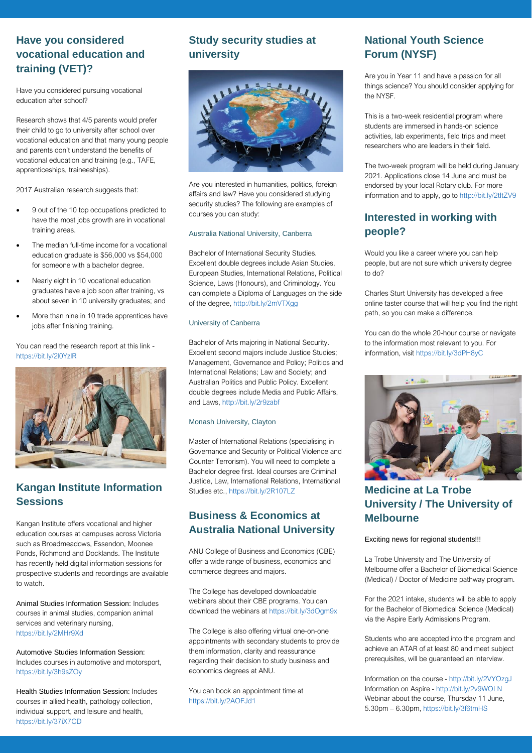## **Have you considered vocational education and training (VET)?**

Have you considered pursuing vocational education after school?

Research shows that 4/5 parents would prefer their child to go to university after school over vocational education and that many young people and parents don't understand the benefits of vocational education and training (e.g., TAFE, apprenticeships, traineeships).

2017 Australian research suggests that:

- 9 out of the 10 top occupations predicted to have the most jobs growth are in vocational training areas.
- The median full-time income for a vocational education graduate is \$56,000 vs \$54,000 for someone with a bachelor degree.
- Nearly eight in 10 vocational education graduates have a job soon after training, vs about seven in 10 university graduates; and
- More than nine in 10 trade apprentices have jobs after finishing training.

You can read the research report at this link <https://bit.ly/2l0YzlR>



# **Kangan Institute Information Sessions**

Kangan Institute offers vocational and higher education courses at campuses across Victoria such as Broadmeadows, Essendon, Moonee Ponds, Richmond and Docklands. The Institute has recently held digital information sessions for prospective students and recordings are available to watch.

Animal Studies Information Session: Includes courses in animal studies, companion animal services and veterinary nursing, <https://bit.ly/2MHr9Xd>

Automotive Studies Information Session: Includes courses in automotive and motorsport, <https://bit.ly/3h9sZOy>

Health Studies Information Session: Includes courses in allied health, pathology collection, individual support, and leisure and health, <https://bit.ly/37iX7CD>

# **Study security studies at university**



Are you interested in humanities, politics, foreign affairs and law? Have you considered studying security studies? The following are examples of courses you can study:

## Australia National University, Canberra

Bachelor of International Security Studies. Excellent double degrees include Asian Studies, European Studies, International Relations, Political Science, Laws (Honours), and Criminology. You can complete a Diploma of Languages on the side of the degree[, http://bit.ly/2mVTXgg](http://bit.ly/2mVTXgg)

## University of Canberra

Bachelor of Arts majoring in National Security. Excellent second majors include Justice Studies; Management, Governance and Policy; Politics and International Relations; Law and Society; and Australian Politics and Public Policy. Excellent double degrees include Media and Public Affairs, and Laws[, http://bit.ly/2r9zabf](http://bit.ly/2r9zabf)

## Monash University, Clayton

Master of International Relations (specialising in Governance and Security or Political Violence and Counter Terrorism). You will need to complete a Bachelor degree first. Ideal courses are Criminal Justice, Law, International Relations, International Studies etc.[, https://bit.ly/2R107LZ](https://bit.ly/2R107LZ)

## **Business & Economics at Australia National University**

ANU College of Business and Economics (CBE) offer a wide range of business, economics and commerce degrees and majors.

The College has developed downloadable webinars about their CBE programs. You can download the webinars a[t https://bit.ly/3dOgm9x](https://bit.ly/3dOgm9x)

The College is also offering virtual one-on-one appointments with secondary students to provide them information, clarity and reassurance regarding their decision to study business and economics degrees at ANU.

You can book an appointment time at <https://bit.ly/2AOFJd1>

# **National Youth Science Forum (NYSF)**

Are you in Year 11 and have a passion for all things science? You should consider applying for the NYSF.

This is a two-week residential program where students are immersed in hands-on science activities, lab experiments, field trips and meet researchers who are leaders in their field.

The two-week program will be held during January 2021. Applications close 14 June and must be endorsed by your local Rotary club. For more information and to apply, go t[o http://bit.ly/2tItZV9](http://bit.ly/2tItZV9)

## **Interested in working with people?**

Would you like a career where you can help people, but are not sure which university degree to do?

Charles Sturt University has developed a free online taster course that will help you find the right path, so you can make a difference.

You can do the whole 20-hour course or navigate to the information most relevant to you. For information, visi[t https://bit.ly/3dPH8yC](https://bit.ly/3dPH8yC)



## **Medicine at La Trobe University / The University of Melbourne**

## Exciting news for regional students!!!

La Trobe University and The University of Melbourne offer a Bachelor of Biomedical Science (Medical) / Doctor of Medicine pathway program.

For the 2021 intake, students will be able to apply for the Bachelor of Biomedical Science (Medical) via the Aspire Early Admissions Program.

Students who are accepted into the program and achieve an ATAR of at least 80 and meet subject prerequisites, will be guaranteed an interview.

Information on the course - <http://bit.ly/2VYOzgJ> Information on Aspire - <http://bit.ly/2v9WOLN> Webinar about the course, Thursday 11 June, 5.30pm – 6.30pm[, https://bit.ly/3f6tmHS](https://bit.ly/3f6tmHS)